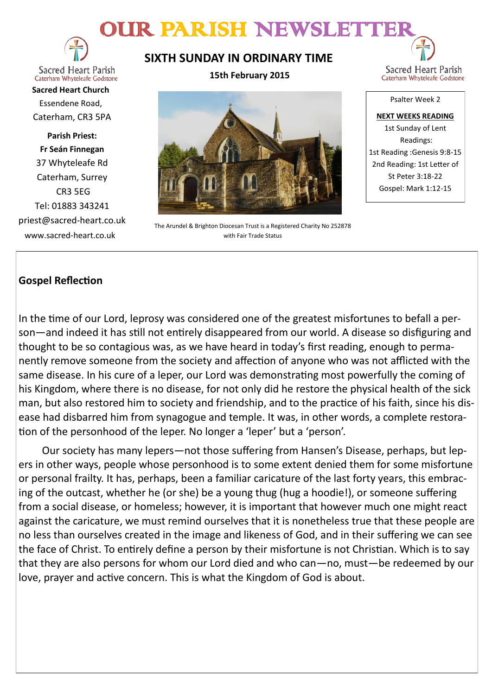# OUR PARISH NEWSLETTER



**Sacred Heart Parish** Caterham Whyteleafe Godstone

**Sacred Heart Church** Essendene Road, Caterham, CR3 5PA

**Parish Priest: Fr Seán Finnegan** 37 Whyteleafe Rd Caterham, Surrey CR3 5EG Tel: 01883 343241 priest@sacred-heart.co.uk www.sacred-heart.co.uk

**SIXTH SUNDAY IN ORDINARY TIME**

**15th February 2015**



The Arundel & Brighton Diocesan Trust is a Registered Charity No 252878 with Fair Trade Status

Psalter Week 2 **NEXT WEEKS READING** 1st Sunday of Lent Readings: 1st Reading :Genesis 9:8-15

Sacred Heart Parish Caterham Whyteleafe Godstone

2nd Reading: 1st Letter of St Peter 3:18-22 Gospel: Mark 1:12-15

# **Gospel Reflection**

In the time of our Lord, leprosy was considered one of the greatest misfortunes to befall a person—and indeed it has still not entirely disappeared from our world. A disease so disfiguring and thought to be so contagious was, as we have heard in today's first reading, enough to permanently remove someone from the society and affection of anyone who was not afflicted with the same disease. In his cure of a leper, our Lord was demonstrating most powerfully the coming of his Kingdom, where there is no disease, for not only did he restore the physical health of the sick man, but also restored him to society and friendship, and to the practice of his faith, since his disease had disbarred him from synagogue and temple. It was, in other words, a complete restoration of the personhood of the leper. No longer a 'leper' but a 'person'.

Our society has many lepers—not those suffering from Hansen's Disease, perhaps, but lepers in other ways, people whose personhood is to some extent denied them for some misfortune or personal frailty. It has, perhaps, been a familiar caricature of the last forty years, this embracing of the outcast, whether he (or she) be a young thug (hug a hoodie!), or someone suffering from a social disease, or homeless; however, it is important that however much one might react against the caricature, we must remind ourselves that it is nonetheless true that these people are no less than ourselves created in the image and likeness of God, and in their suffering we can see the face of Christ. To entirely define a person by their misfortune is not Christian. Which is to say that they are also persons for whom our Lord died and who can—no, must—be redeemed by our love, prayer and active concern. This is what the Kingdom of God is about.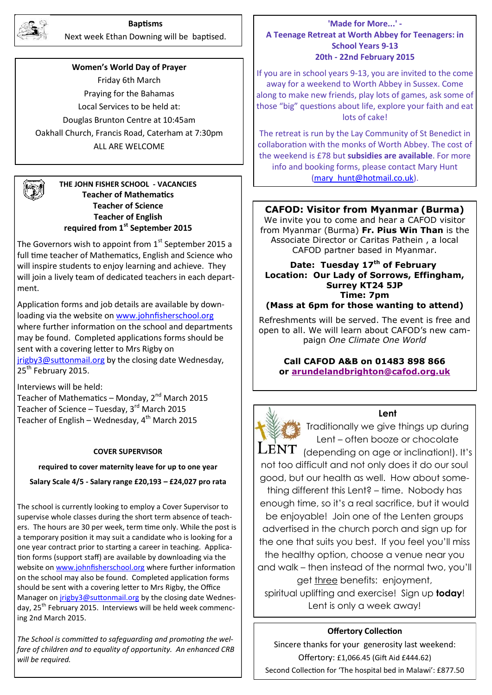

#### **Baptisms**

Next week Ethan Downing will be baptised.

**Women's World Day of Prayer** Friday 6th March Praying for the Bahamas Local Services to be held at: Douglas Brunton Centre at 10:45am Oakhall Church, Francis Road, Caterham at 7:30pm ALL ARE WELCOME

# **THE JOHN FISHER SCHOOL - VACANCIES Teacher of Mathematics Teacher of Science Teacher of English required from 1st September 2015**

The Governors wish to appoint from  $1<sup>st</sup>$  September 2015 a full time teacher of Mathematics, English and Science who will inspire students to enjoy learning and achieve. They will join a lively team of dedicated teachers in each department.

Application forms and job details are available by downloading via the website on [www.johnfisherschool.org](http://www.johnfisherschool.org) where further information on the school and departments may be found. Completed applications forms should be sent with a covering letter to Mrs Rigby on [jrigby3@suttonmail.org](mailto:jrigby3@suttonmail.org) by the closing date Wednesday, 25<sup>th</sup> February 2015.

Interviews will be held: Teacher of Mathematics – Monday,  $2^{nd}$  March 2015 Teacher of Science – Tuesday,  $3^{rd}$  March 2015 Teacher of English – Wednesday,  $4^{th}$  March 2015

#### **COVER SUPERVISOR**

#### **required to cover maternity leave for up to one year**

**Salary Scale 4/5 - Salary range £20,193 – £24,027 pro rata**

The school is currently looking to employ a Cover Supervisor to supervise whole classes during the short term absence of teachers. The hours are 30 per week, term time only. While the post is a temporary position it may suit a candidate who is looking for a one year contract prior to starting a career in teaching. Application forms (support staff) are available by downloading via the website on [www.johnfisherschool.org](http://www.johnfisherschool.org) where further information on the school may also be found. Completed application forms should be sent with a covering letter to Mrs Rigby, the Office Manager on [jrigby3@suttonmail.org](mailto:jrigby3@suttonmail.org) by the closing date Wednesday, 25<sup>th</sup> February 2015. Interviews will be held week commencing 2nd March 2015.

*The School is committed to safeguarding and promoting the welfare of children and to equality of opportunity. An enhanced CRB will be required.*

# **'Made for More...' - A Teenage Retreat at Worth Abbey for Teenagers: in School Years 9-13 20th - 22nd February 2015**

If you are in school years 9-13, you are invited to the come away for a weekend to Worth Abbey in Sussex. Come along to make new friends, play lots of games, ask some of those "big" questions about life, explore your faith and eat lots of cake!

The retreat is run by the Lay Community of St Benedict in collaboration with the monks of Worth Abbey. The cost of the weekend is £78 but **subsidies are available**. For more info and booking forms, please contact Mary Hunt [\(mary\\_hunt@hotmail.co.uk\)](mailto:katyrussell@hotmail.co.uk).

#### **CAFOD: Visitor from Myanmar (Burma)**

We invite you to come and hear a CAFOD visitor from Myanmar (Burma) **Fr. Pius Win Than** is the Associate Director or Caritas Pathein , a local CAFOD partner based in Myanmar.

**Date: Tuesday 17th of February Location: Our Lady of Sorrows, Effingham, Surrey KT24 5JP Time: 7pm (Mass at 6pm for those wanting to attend)**

Refreshments will be served. The event is free and

open to all. We will learn about CAFOD's new campaign *One Climate One World*

# **Call CAFOD A&B on 01483 898 866 or [arundelandbrighton@cafod.org.uk](mailto:arundelandbrighton@cafod.org.uk)**



**Lent**

Traditionally we give things up during Lent – often booze or chocolate  $\textrm{LENT}$  (depending on age or inclination!). It's not too difficult and not only does it do our soul good, but our health as well. How about something different this Lent? – time. Nobody has enough time, so it's a real sacrifice, but it would be enjoyable! Join one of the Lenten groups advertised in the church porch and sign up for the one that suits you best. If you feel you'll miss the healthy option, choose a venue near you and walk – then instead of the normal two, you'll get three benefits: enjoyment, spiritual uplifting and exercise! Sign up **today**! Lent is only a week away!

#### **Offertory Collection**

Sincere thanks for your generosity last weekend: Offertory: £1,066.45 (Gift Aid £444.62) Second Collection for 'The hospital bed in Malawi': £877.50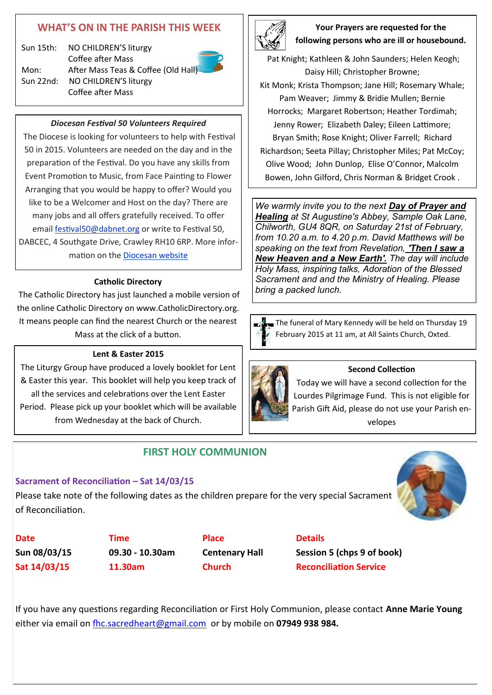# **WHAT'S ON IN THE PARISH THIS WEEK**

Sun 15th: NO CHILDREN'S liturgy Coffee after Mass Mon: After Mass Teas & Coffee (Old Hall) Sun 22nd: NO CHILDREN'S liturgy Coffee after Mass



# *Diocesan Festival 50 Volunteers Required*

The Diocese is looking for volunteers to help with Festival 50 in 2015. Volunteers are needed on the day and in the preparation of the Festival. Do you have any skills from Event Promotion to Music, from Face Painting to Flower Arranging that you would be happy to offer? Would you like to be a Welcomer and Host on the day? There are many jobs and all offers gratefully received. To offer email [festival50@dabnet.org](mailto:festival@dabnet.org?subject=Festival%20Volunteer) or write to Festival 50, DABCEC, 4 Southgate Drive, Crawley RH10 6RP. More information on the [Diocesan website](http://x4io.mjt.lu/link/x4io/vg9ksx0/12/ggdyWRm6fxsB3KNU2q0kEw/aHR0cDovL3d3dy5hYmRpb2Nlc2Uub3JnLnVrL2Zlc3RpdmFsNTA)

# **Catholic Directory**

The Catholic Directory has just launched a mobile version of the online Catholic Directory on www.CatholicDirectory.org. It means people can find the nearest Church or the nearest Mass at the click of a button.

# **Lent & Easter 2015**

The Liturgy Group have produced a lovely booklet for Lent & Easter this year. This booklet will help you keep track of all the services and celebrations over the Lent Easter Period. Please pick up your booklet which will be available from Wednesday at the back of Church.

# **FIRST HOLY COMMUNION**

# **Sacrament of Reconciliation – Sat 14/03/15**

Please take note of the following dates as the children prepare for the very special Sacrament of Reconciliation.



**Date CONS Time Place Details** 

**Sun 08/03/15 09.30 - 10.30am Centenary Hall Session 5 (chps 9 of book) Sat 14/03/15 11.30am Church Reconciliation Service**

If you have any questions regarding Reconciliation or First Holy Communion, please contact **Anne Marie Young** either via email on [fhc.sacredheart@gmail.com](mailto:fhc.sacredheart@gmail.com) or by mobile on **07949 938 984.**



**Your Prayers are requested for the following persons who are ill or housebound.** 

Pat Knight; Kathleen & John Saunders; Helen Keogh; Daisy Hill; Christopher Browne; Kit Monk; Krista Thompson; Jane Hill; Rosemary Whale; Pam Weaver; Jimmy & Bridie Mullen; Bernie Horrocks; Margaret Robertson; Heather Tordimah; Jenny Rower; Elizabeth Daley; Eileen Lattimore; Bryan Smith; Rose Knight; Oliver Farrell; Richard Richardson; Seeta Pillay; Christopher Miles; Pat McCoy; Olive Wood; John Dunlop, Elise O'Connor, Malcolm

Bowen, John Gilford, Chris Norman & Bridget Crook .

*We warmly invite you to the next Day of Prayer and Healing at St Augustine's Abbey, Sample Oak Lane, Chilworth, GU4 8QR, on Saturday 21st of February, from 10.20 a.m. to 4.20 p.m. David Matthews will be speaking on the text from Revelation, 'Then I saw a New Heaven and a New Earth'. The day will include Holy Mass, inspiring talks, Adoration of the Blessed Sacrament and and the Ministry of Healing. Please bring a packed lunch.*



The funeral of Mary Kennedy will be held on Thursday 19 February 2015 at 11 am, at All Saints Church, Oxted.



# **Second Collection**

Today we will have a second collection for the Lourdes Pilgrimage Fund. This is not eligible for Parish Gift Aid, please do not use your Parish envelopes